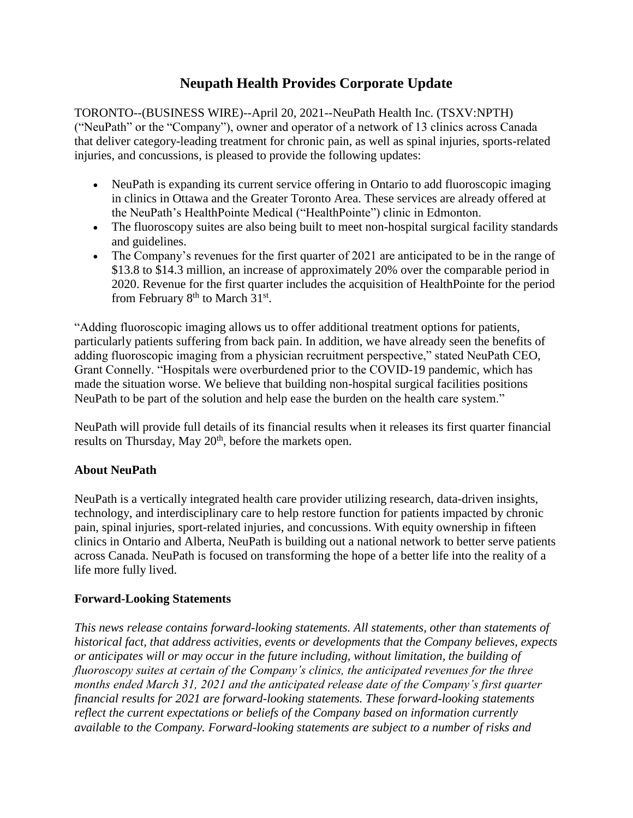## **Neupath Health Provides Corporate Update**

TORONTO--(BUSINESS WIRE)--April 20, 2021--NeuPath Health Inc. (TSXV:NPTH) ("NeuPath" or the "Company"), owner and operator of a network of 13 clinics across Canada that deliver category-leading treatment for chronic pain, as well as spinal injuries, sports-related injuries, and concussions, is pleased to provide the following updates:

- NeuPath is expanding its current service offering in Ontario to add fluoroscopic imaging in clinics in Ottawa and the Greater Toronto Area. These services are already offered at the NeuPath's HealthPointe Medical ("HealthPointe") clinic in Edmonton.
- The fluoroscopy suites are also being built to meet non-hospital surgical facility standards and guidelines.
- The Company's revenues for the first quarter of 2021 are anticipated to be in the range of \$13.8 to \$14.3 million, an increase of approximately 20% over the comparable period in 2020. Revenue for the first quarter includes the acquisition of HealthPointe for the period from February  $8<sup>th</sup>$  to March 31<sup>st</sup>.

"Adding fluoroscopic imaging allows us to offer additional treatment options for patients, particularly patients suffering from back pain. In addition, we have already seen the benefits of adding fluoroscopic imaging from a physician recruitment perspective," stated NeuPath CEO, Grant Connelly. "Hospitals were overburdened prior to the COVID-19 pandemic, which has made the situation worse. We believe that building non-hospital surgical facilities positions NeuPath to be part of the solution and help ease the burden on the health care system."

NeuPath will provide full details of its financial results when it releases its first quarter financial results on Thursday, May 20<sup>th</sup>, before the markets open.

## **About NeuPath**

NeuPath is a vertically integrated health care provider utilizing research, data-driven insights, technology, and interdisciplinary care to help restore function for patients impacted by chronic pain, spinal injuries, sport-related injuries, and concussions. With equity ownership in fifteen clinics in Ontario and Alberta, NeuPath is building out a national network to better serve patients across Canada. NeuPath is focused on transforming the hope of a better life into the reality of a life more fully lived.

## **Forward-Looking Statements**

*This news release contains forward-looking statements. All statements, other than statements of historical fact, that address activities, events or developments that the Company believes, expects or anticipates will or may occur in the future including, without limitation, the building of fluoroscopy suites at certain of the Company's clinics, the anticipated revenues for the three months ended March 31, 2021 and the anticipated release date of the Company's first quarter financial results for 2021 are forward-looking statements. These forward-looking statements reflect the current expectations or beliefs of the Company based on information currently available to the Company. Forward-looking statements are subject to a number of risks and*